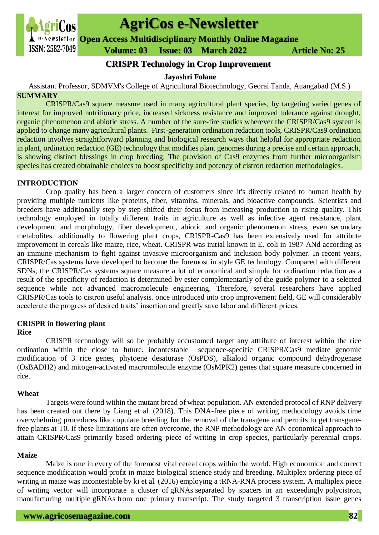

# **AgriCos e-Newsletter**

**Open Access Multidisciplinary Monthly Online Magazine**

 **ISSN: 2582-7049 Volume: 03 Issue: 03 March** 2022 **Article No: 25** 

# **CRISPR Technology in Crop Improvement**

#### **Jayashri Folane**

Assistant Professor, SDMVM's College of Agricultural Biotechnology, Georai Tanda, Auangabad (M.S.) **SUMMARY**

CRISPR/Cas9 square measure used in many agricultural plant species, by targeting varied genes of interest for improved nutritionary price, increased sickness resistance and improved tolerance against drought, organic phenomenon and abiotic stress. A number of the sure-fire studies wherever the CRISPR/Cas9 system is applied to change many agricultural plants. First-generation ordination redaction tools, CRISPR/Cas9 ordination redaction involves straightforward planning and biological research ways that helpful for appropriate redaction in plant, ordination redaction (GE) technology that modifies plant genomes during a precise and certain approach, is showing distinct blessings in crop breeding. The provision of Cas9 enzymes from further microorganism species has created obtainable choices to boost specificity and potency of cistron redaction methodologies.

# **INTRODUCTION**

Crop quality has been a larger concern of customers since it's directly related to human health by providing multiple nutrients like proteins, fiber, vitamins, minerals, and bioactive compounds. Scientists and breeders have additionally step by step shifted their focus from increasing production to rising quality. This technology employed in totally different traits in agriculture as well as infective agent resistance, plant development and morphology, fiber development, abiotic and organic phenomenon stress, even secondary metabolites. additionally to flowering plant crops, CRISPR-Cas9 has been extensively used for attribute improvement in cereals like maize, rice, wheat. CRISPR was initial known in E. coli in 1987 ANd according as an immune mechanism to fight against invasive microorganism and inclusion body polymer. In recent years, CRISPR/Cas systems have developed to become the foremost in style GE technology. Compared with different SDNs, the CRISPR/Cas systems square measure a lot of economical and simple for ordination redaction as a result of the specificity of redaction is determined by ester complementarily of the guide polymer to a selected sequence while not advanced macromolecule engineering. Therefore, several researchers have applied CRISPR/Cas tools to cistron useful analysis. once introduced into crop improvement field, GE will considerably accelerate the progress of desired traits' insertion and greatly save labor and different prices.

# **CRISPR in flowering plant**

# **Rice**

 CRISPR technology will so be probably accustomed target any attribute of interest within the rice ordination within the close to future. incontestable sequence-specific CRISPR/Cas9 mediate genomic modification of 3 rice genes, phytoene desaturase (OsPDS), alkaloid organic compound dehydrogenase (OsBADH2) and mitogen-activated macromolecule enzyme (OsMPK2) genes that square measure concerned in rice.

#### **Wheat**

 Targets were found within the mutant bread of wheat population. AN extended protocol of RNP delivery has been created out there by Liang et al. (2018). This DNA-free piece of writing methodology avoids time overwhelming procedures like copulate breeding for the removal of the transgene and permits to get transgenefree plants at T0. If these limitations are often overcome, the RNP methodology are AN economical approach to attain CRISPR/Cas9 primarily based ordering piece of writing in crop species, particularly perennial crops.

# **Maize**

 Maize is one in every of the foremost vital cereal crops within the world. High economical and correct sequence modification would profit in maize biological science study and breeding. Multiplex ordering piece of writing in maize was incontestable by ki et al. (2016) employing a tRNA-RNA process system. A multiplex piece of writing vector will incorporate a cluster of gRNAs separated by spacers in an exceedingly polycistron, manufacturing multiple gRNAs from one primary transcript. The study targeted 3 transcription issue genes